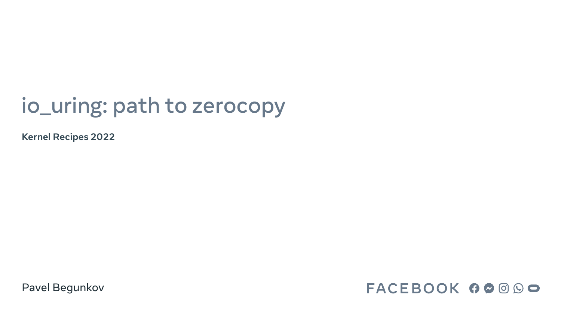# io\_uring: path to zerocopy

**Kernel Recipes 2022**

Pavel Begunkov

## FACEBOOK 60000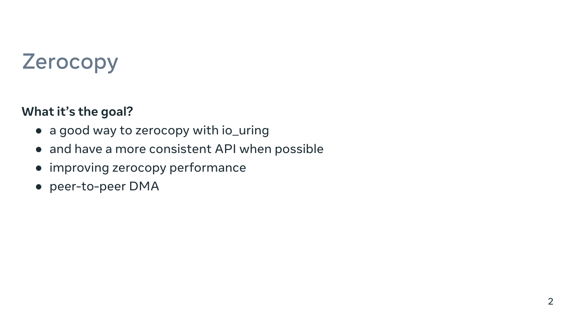# Zerocopy

2

### **What it's the goal?**

- a good way to zerocopy with io\_uring
- and have a more consistent API when possible
- improving zerocopy performance
- peer-to-peer DMA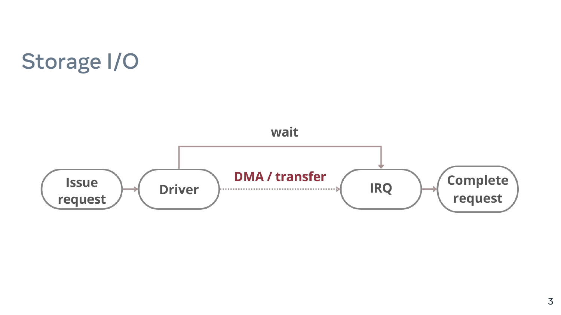

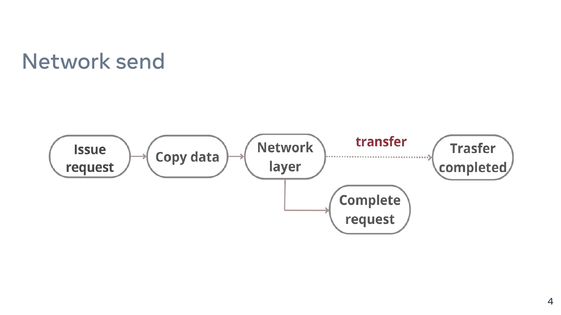## Network send

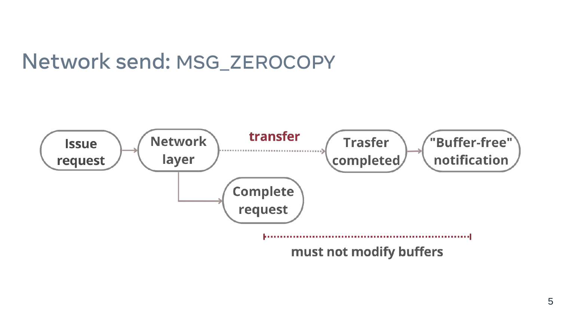## Network send: MSG\_ZEROCOPY

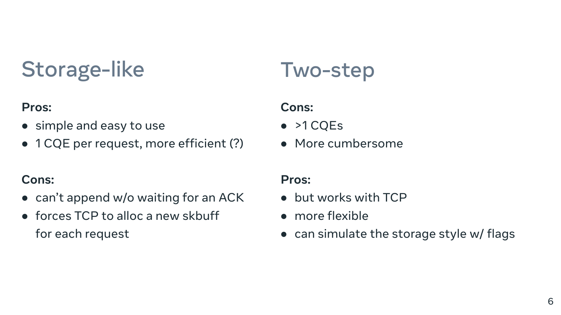# Storage-like

### **Pros:**

- simple and easy to use
- 1 CQE per request, more efficient (?)

### **Cons:**

- can't append w/o waiting for an ACK
- forces TCP to alloc a new skbuff for each request
- >1 CQEs
- More cumbersome

- but works with TCP
- more flexible
- can simulate the storage style w/ flags

## Two-step

### **Cons:**

### **Pros:**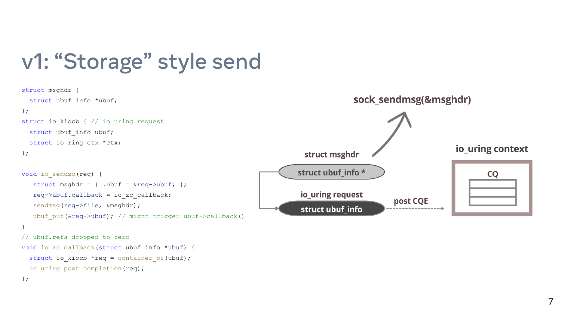# v1: "Storage" style send

```
struct msghdr {
 struct ubuf_info *ubuf;
};
struct io_kiocb { // io_uring request
  struct ubuf_info ubuf;
  struct io_ring_ctx *ctx;
                                                                           struct msghdr
};
                                                                         struct ubuf_info *
void io_sendzc(req) {
   struct msghdr = \{ .ubuf = \&req->ubuf; \};
                                                                          io_uring request
 req->ubuf
.callback = io_zc_callback;
 sendmsg
(req->file, &msghdr);
                                                                          struct ubuf_info
   ubuf put(&req->ubuf); // might trigger ubuf->callback()
}
// ubuf.refs dropped to zero
void io zc callback (struct ubuf info *ubuf) {
   struct io_kiocb *req = container_of(ubuf);
 io uring post completion (req) ;
};
```
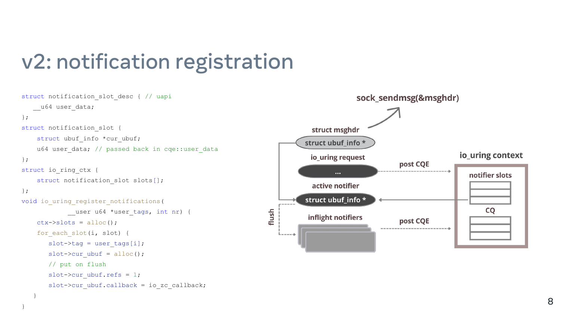## v2: notification registration

struct notification\_slot\_desc { // uapi

```
 __u64 user_data;
};
struct notification slot {
    struct ubuf_info *cur_ubuf;
   u64 user data; // passed back in cqe::user data
};
struct io_ring_ctx {
struct notification slot slots[];
};
void io uring register notifications (
            __user u64 *user_tags, int nr) {
   ctx->slots = alloc();for each slot(i, slot) {
slot->tag = user tags[i];
      slot->cur ubuf = alloc();
       // put on flush
slot->cur ubuf.refs = 1;
slot->cur ubuf.callback = io zc callback;
 }
```
}

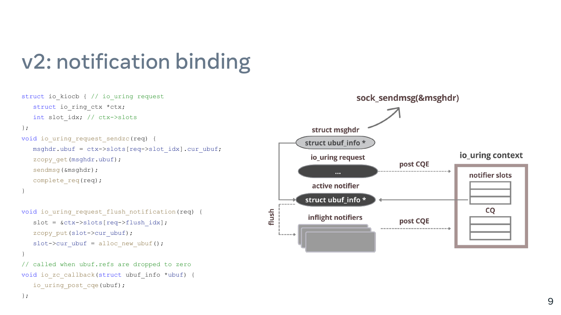# v2: notification binding

```
struct io_kiocb { // io_uring request
   struct io ring ctx *ctx;
  int slot idx; // ctx->slots
};
void io_uring_request_sendzc(req) {
msghdr.ubuf = ctx->slots[req->slot idx].cur ubuf;
zcopy get (msghdr.ubuf);
    sendmsg(&msghdr);
    complete_req(req); }
```

```
void io_uring_request_flush_notification(req) {
slot = &ctx->slots[req->flush idx];
zcopy put(slot->cur_ubuf);
   slot->cur ubuf = alloc new ubuf();
}
// called when ubuf.refs are dropped to zero
void io zc callback (struct ubuf info *ubuf) {
  io uring post cqe(ubuf);
};
```
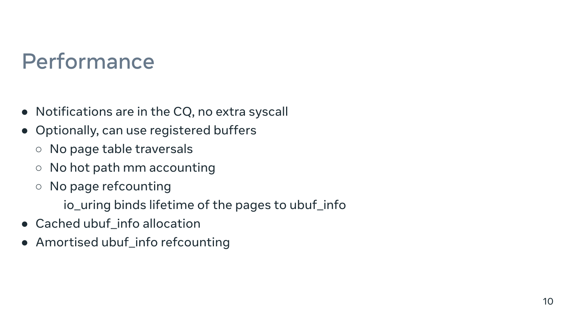## Performance

- Notifications are in the CQ, no extra syscall
- Optionally, can use registered buffers
	- No page table traversals
	- No hot path mm accounting
	- No page refcounting

io\_uring binds lifetime of the pages to ubuf\_info

- Cached ubuf\_info allocation
- Amortised ubuf\_info refcounting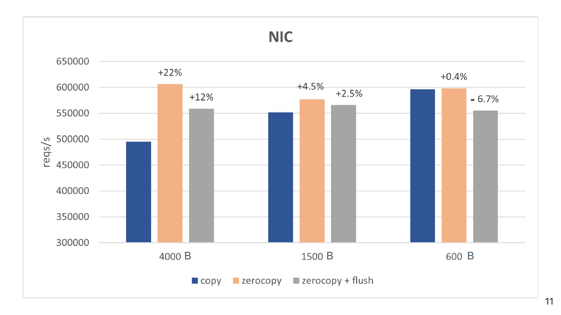## **NIC**

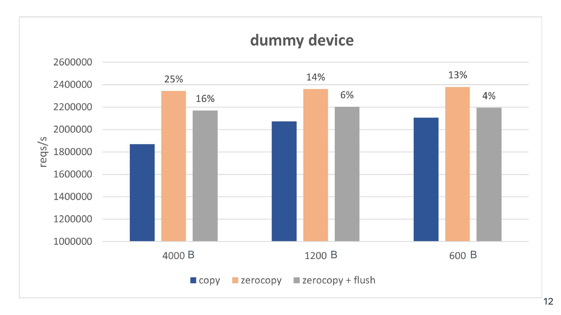## dummy device

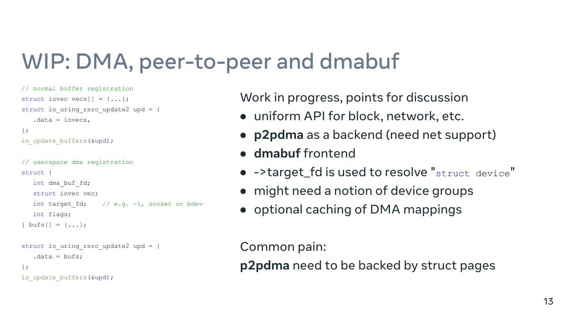# WIP: DMA, peer-to-peer and dmabuf

Work in progress, points for discussion

```
// normal buffer registration
struct iovec vecs[] = {...};
struct io uring rsrc update2 upd = {
   data = iovecs,
};
io update buffers(&upd);
```
Common pain:

### **p2pdma** need to be backed by struct pages

```
// userspace dma registration
struct {
    int dma_buf_fd;
    struct iovec vec;
   int target fd; // e.g. -1, socket or bdev
    int flags;
} \text{bufs}{} = \{ ... \};
struct io uring rsrc update2 upd = {
   data = buffers;};
```

```
io update buffers(&upd);
```
- uniform API for block, network, etc.
- 
- **p2pdma** as a backend (need net support) ● **dmabuf** frontend
- ->target\_fd is used to resolve "struct device"
- might need a notion of device groups
- optional caching of DMA mappings